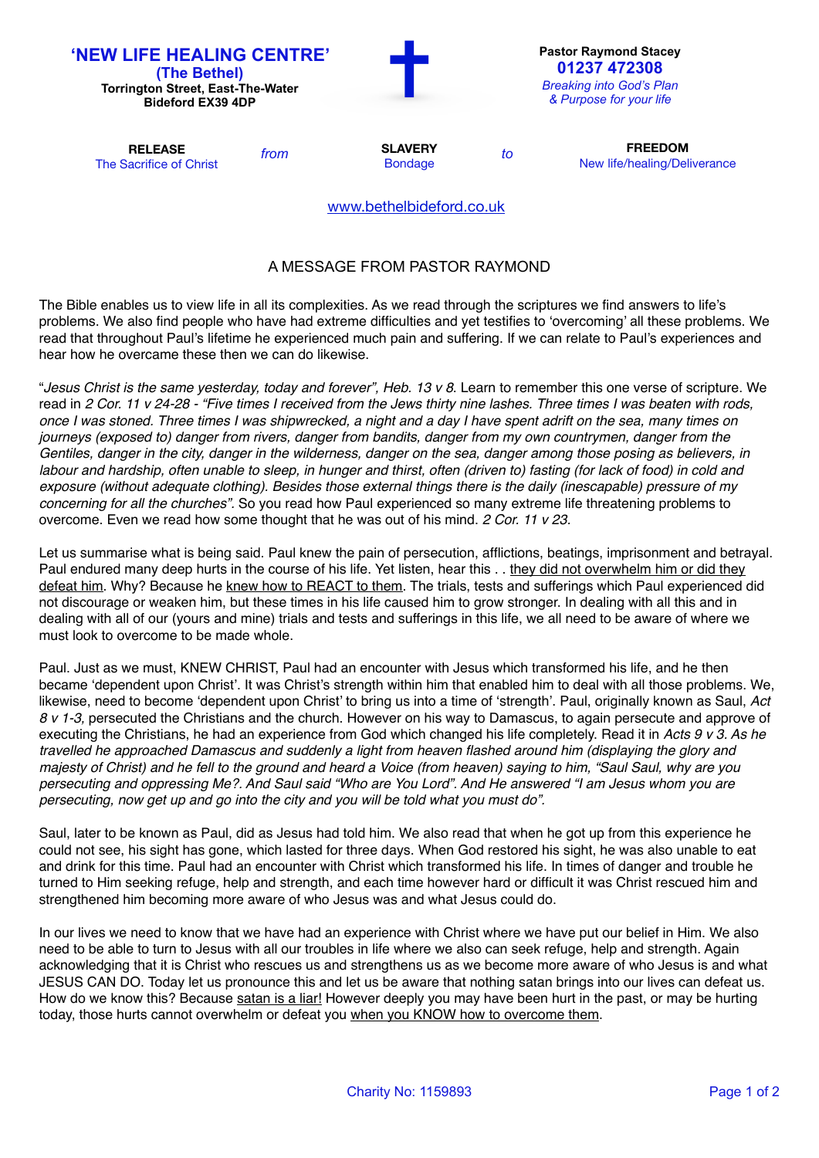| <b>'NEW LIFE HEALING CENTRE'</b><br>(The Bethel)<br><b>Torrington Street, East-The-Water</b><br><b>Bideford EX39 4DP</b> |      |                                  |    | <b>Pastor Raymond Stacey</b><br>01237 472308<br><b>Breaking into God's Plan</b><br>& Purpose for your life |
|--------------------------------------------------------------------------------------------------------------------------|------|----------------------------------|----|------------------------------------------------------------------------------------------------------------|
| <b>RELEASE</b><br>The Sacrifice of Christ                                                                                | from | <b>SLAVERY</b><br><b>Bondage</b> | to | <b>FREEDOM</b><br>New life/healing/Deliverance                                                             |
|                                                                                                                          |      | www.bethelbideford.co.uk         |    |                                                                                                            |

## A MESSAGE FROM PASTOR RAYMOND

The Bible enables us to view life in all its complexities. As we read through the scriptures we find answers to life's problems. We also find people who have had extreme difficulties and yet testifies to 'overcoming' all these problems. We read that throughout Paul's lifetime he experienced much pain and suffering. If we can relate to Paul's experiences and hear how he overcame these then we can do likewise.

"*Jesus Christ is the same yesterday, today and forever", Heb. 13 v 8*. Learn to remember this one verse of scripture. We read in *2 Cor. 11 v 24-28 - "Five times I received from the Jews thirty nine lashes. Three times I was beaten with rods, once I was stoned. Three times I was shipwrecked, a night and a day I have spent adrift on the sea, many times on journeys (exposed to) danger from rivers, danger from bandits, danger from my own countrymen, danger from the Gentiles, danger in the city, danger in the wilderness, danger on the sea, danger among those posing as believers, in labour and hardship, often unable to sleep, in hunger and thirst, often (driven to) fasting (for lack of food) in cold and exposure (without adequate clothing). Besides those external things there is the daily (inescapable) pressure of my concerning for all the churches".* So you read how Paul experienced so many extreme life threatening problems to overcome. Even we read how some thought that he was out of his mind. *2 Cor. 11 v 23.*

Let us summarise what is being said. Paul knew the pain of persecution, afflictions, beatings, imprisonment and betrayal. Paul endured many deep hurts in the course of his life. Yet listen, hear this . . they did not overwhelm him or did they defeat him. Why? Because he knew how to REACT to them. The trials, tests and sufferings which Paul experienced did not discourage or weaken him, but these times in his life caused him to grow stronger. In dealing with all this and in dealing with all of our (yours and mine) trials and tests and sufferings in this life, we all need to be aware of where we must look to overcome to be made whole.

Paul. Just as we must, KNEW CHRIST, Paul had an encounter with Jesus which transformed his life, and he then became 'dependent upon Christ'. It was Christ's strength within him that enabled him to deal with all those problems. We, likewise, need to become 'dependent upon Christ' to bring us into a time of 'strength'. Paul, originally known as Saul, *Act 8 v 1-3,* persecuted the Christians and the church. However on his way to Damascus, to again persecute and approve of executing the Christians, he had an experience from God which changed his life completely. Read it in *Acts 9 v 3. As he travelled he approached Damascus and suddenly a light from heaven flashed around him (displaying the glory and majesty of Christ) and he fell to the ground and heard a Voice (from heaven) saying to him, "Saul Saul, why are you persecuting and oppressing Me?. And Saul said "Who are You Lord". And He answered "I am Jesus whom you are persecuting, now get up and go into the city and you will be told what you must do".*

Saul, later to be known as Paul, did as Jesus had told him. We also read that when he got up from this experience he could not see, his sight has gone, which lasted for three days. When God restored his sight, he was also unable to eat and drink for this time. Paul had an encounter with Christ which transformed his life. In times of danger and trouble he turned to Him seeking refuge, help and strength, and each time however hard or difficult it was Christ rescued him and strengthened him becoming more aware of who Jesus was and what Jesus could do.

In our lives we need to know that we have had an experience with Christ where we have put our belief in Him. We also need to be able to turn to Jesus with all our troubles in life where we also can seek refuge, help and strength. Again acknowledging that it is Christ who rescues us and strengthens us as we become more aware of who Jesus is and what JESUS CAN DO. Today let us pronounce this and let us be aware that nothing satan brings into our lives can defeat us. How do we know this? Because satan is a liar! However deeply you may have been hurt in the past, or may be hurting today, those hurts cannot overwhelm or defeat you when you KNOW how to overcome them.